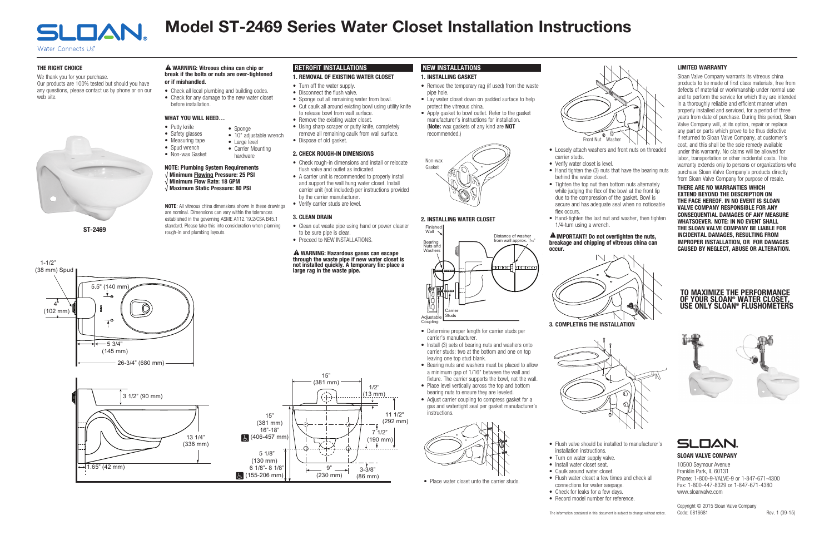#### 2. INSTALLING WATER CLOSET

## NEW INSTALLATIONS

- Remove the temporary rag (if used) from the waste pipe hole.
- Lay water closet down on padded surface to help protect the vitreous china.
- Apply gasket to bowl outlet. Refer to the gasket manufacturer's instructions for installation. (Note: wax gaskets of any kind are NOT recommended.)

#### 1. INSTALLING GASKET 1. REMOVAL OF EXISTING WATER CLOSET

#### THE RIGHT CHOICE

• Sponge out all remaining water from bowl. • Cut caulk all around existing bowl using utility knife

to release bowl from wall surface. • Remove the existing water closet.

We thank you for your purchase. Our products are 100% tested but should you have any questions, please contact us by phone or on our web site.



# Model ST-2469 Series Water Closet Installation Instructions

RETROFIT INSTALLATIONS

• Turn off the water supply. • Disconnect the flush valve.

#### A WARNING: Hazardous gases can escape through the waste pipe if new water closet is not installed quickly. A temporary fix: place a large rag in the waste pipe.

#### A WARNING: Vitreous china can chip or break if the bolts or nuts are over-tightened or if mishandled.

• Using sharp scraper or putty knife, completely remove all remaining caulk from wall surface.

• Dispose of old gasket.

2. CHECK ROUGH-IN DIMENSIONS

• Check rough-in dimensions and install or relocate

flush valve and outlet as indicated.

• A carrier unit is recommended to properly install and support the wall hung water closet. Install carrier unit (not included) per instructions provided

by the carrier manufacturer. • Verify carrier studs are level.

3. CLEAN DRAIN

- Clean out waste pipe using hand or power cleaner
	- to be sure pipe is clear.
		- Proceed to NEW INSTALLATIONS.

Copyright © 2015 Sloan Valve Company Code: 0816681 Rev. 1 (09-15)

• Check all local plumbing and building codes. • Check for any damage to the new water closet before installation.

## WHAT YOU WILL NEED…

## A IMPORTANT! Do not overtighten the nuts, breakage and chipping of vitreous china can



ांचे नगगग

- Putty knife • Safety glasses
- Measuring tape
- Spud wrench
- Non-wax Gasket

# NOTE: Plumbing System Requirements

- √ Minimum Flowing Pressure: 25 PSI √ Minimum Flow Rate: 18 GPM
- √ Maximum Static Pressure: 80 PSI

- Determine proper length for carrier studs per carrier's manufacturer
- Install (3) sets of bearing nuts and washers onto carrier studs: two at the bottom and one on top leaving one top stud blank.
- Bearing nuts and washers must be placed to allow a minimum gap of 1/16" between the wall and fixture. The carrier supports the bowl, not the wall.
- Place level vertically across the top and bottom bearing nuts to ensure they are leveled.
- Adjust carrier coupling to compress gasket for a gas and watertight seal per gasket manufacturer's instructions.



• Place water closet unto the carrier studs.

#### SLOAN VALVE COMPANY

NOTE: All vitreous china dimensions shown in these drawings are nominal. Dimensions can vary within the tolerances established in the governing ASME A112.19.2/CSA B45.1 standard. Please take this into consideration when planning **ST-2469** rough-in and plumbing layouts.

> 10500 Seymour Avenue Franklin Park, IL 60131 Phone: 1-800-9-VALVE-9 or 1-847-671-4300 Fax: 1-800-447-8329 or 1-847-671-4380 www.sloanvalve.com

## TO MAXIMIZE THE PERFORMANCE OF YOUR SLOAN® WATER CLOSET, USE ONLY SLOAN® FLUSHOMETERS

• Check for leaks for a few days.



**SLOAN** 

• Sponge

• Large level • Carrier Mounting hardware

• 10" adjustable wrench





• Loosely attach washers and front nuts on threaded

• Hand-tighten the last nut and washer, then tighten



- carrier studs. • Verify water closet is level.
- Hand tighten the (3) nuts that have the bearing nuts behind the water closet.
- Tighten the top nut then bottom nuts alternately while judging the flex of the bowl at the front lip due to the compression of the gasket. Bowl is secure and has adequate seal when no noticeable flex occurs.
- 1/4-turn using a wrench.



- Flush valve should be installed to manufacturer's installation instructions.
- Turn on water supply valve.
- Install water closet seat.
- Caulk around water closet.
- Flush water closet a few times and check all connections for water seepage.

#### LIMITED WARRANTY

Sloan Valve Company warrants its vitreous china products to be made of first class materials, free from defects of material or workmanship under normal use and to perform the service for which they are intended in a thoroughly reliable and efficient manner when properly installed and serviced, for a period of three years from date of purchase. During this period, Sloan Valve Company will, at its option, repair or replace any part or parts which prove to be thus defective if returned to Sloan Valve Company, at customer's cost, and this shall be the sole remedy available under this warranty. No claims will be allowed for labor, transportation or other incidental costs. This warranty extends only to persons or organizations who purchase Sloan Valve Company's products directly from Sloan Valve Company for purpose of resale.

THERE ARE NO WARRANTIES WHICH EXTEND BEYOND THE DESCRIPTION ON THE FACE HEREOF. IN NO EVENT IS SLOAN VALVE COMPANY RESPONSIBLE FOR ANY CONSEQUENTIAL DAMAGES OF ANY MEASURE WHATSOEVER. NOTE: IN NO EVENT SHALL THE SLOAN VALVE COMPANY BE LIABLE FOR INCIDENTAL DAMAGES, RESULTING FROM IMPROPER INSTALLATION, OR FOR DAMAGES CAUSED BY NEGLECT, ABUSE OR ALTERATION.



Finished